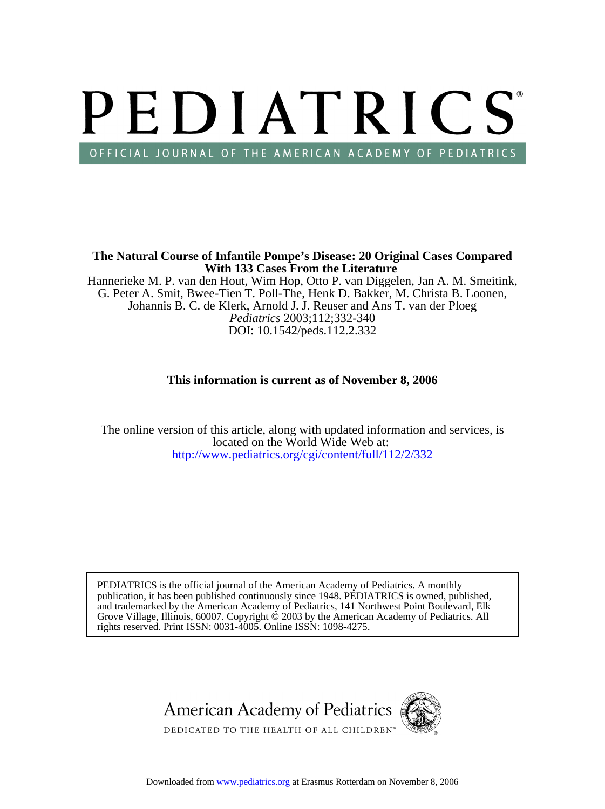# PEDIATRICS OFFICIAL JOURNAL OF THE AMERICAN ACADEMY OF PEDIATRICS

**With 133 Cases From the Literature The Natural Course of Infantile Pompe's Disease: 20 Original Cases Compared**

DOI: 10.1542/peds.112.2.332 *Pediatrics* 2003;112;332-340 Johannis B. C. de Klerk, Arnold J. J. Reuser and Ans T. van der Ploeg G. Peter A. Smit, Bwee-Tien T. Poll-The, Henk D. Bakker, M. Christa B. Loonen, Hannerieke M. P. van den Hout, Wim Hop, Otto P. van Diggelen, Jan A. M. Smeitink,

# **This information is current as of November 8, 2006**

<http://www.pediatrics.org/cgi/content/full/112/2/332> located on the World Wide Web at: The online version of this article, along with updated information and services, is

rights reserved. Print ISSN: 0031-4005. Online ISSN: 1098-4275. Grove Village, Illinois, 60007. Copyright  $\ddot{\odot}$  2003 by the American Academy of Pediatrics. All and trademarked by the American Academy of Pediatrics, 141 Northwest Point Boulevard, Elk publication, it has been published continuously since 1948. PEDIATRICS is owned, published, PEDIATRICS is the official journal of the American Academy of Pediatrics. A monthly

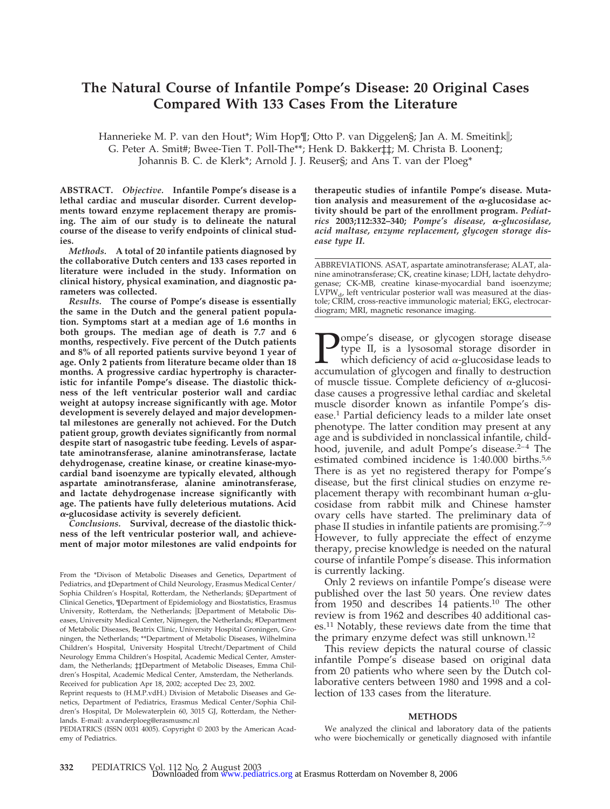# **The Natural Course of Infantile Pompe's Disease: 20 Original Cases Compared With 133 Cases From the Literature**

Hannerieke M. P. van den Hout\*; Wim Hop¶; Otto P. van Diggelen§; Jan A. M. Smeitink||; G. Peter A. Smit#; Bwee-Tien T. Poll-The\*\*; Henk D. Bakker‡‡; M. Christa B. Loonen‡; Johannis B. C. de Klerk\*; Arnold J. J. Reuser§; and Ans T. van der Ploeg\*

**ABSTRACT.** *Objective.* **Infantile Pompe's disease is a lethal cardiac and muscular disorder. Current developments toward enzyme replacement therapy are promising. The aim of our study is to delineate the natural course of the disease to verify endpoints of clinical studies.**

*Methods.* **A total of 20 infantile patients diagnosed by the collaborative Dutch centers and 133 cases reported in literature were included in the study. Information on clinical history, physical examination, and diagnostic parameters was collected.**

*Results.* **The course of Pompe's disease is essentially the same in the Dutch and the general patient population. Symptoms start at a median age of 1.6 months in both groups. The median age of death is 7.7 and 6 months, respectively. Five percent of the Dutch patients and 8% of all reported patients survive beyond 1 year of age. Only 2 patients from literature became older than 18 months. A progressive cardiac hypertrophy is characteristic for infantile Pompe's disease. The diastolic thickness of the left ventricular posterior wall and cardiac weight at autopsy increase significantly with age. Motor development is severely delayed and major developmental milestones are generally not achieved. For the Dutch patient group, growth deviates significantly from normal despite start of nasogastric tube feeding. Levels of aspartate aminotransferase, alanine aminotransferase, lactate dehydrogenase, creatine kinase, or creatine kinase-myocardial band isoenzyme are typically elevated, although aspartate aminotransferase, alanine aminotransferase, and lactate dehydrogenase increase significantly with age. The patients have fully deleterious mutations. Acid -glucosidase activity is severely deficient.**

*Conclusions.* **Survival, decrease of the diastolic thickness of the left ventricular posterior wall, and achievement of major motor milestones are valid endpoints for**

From the \*Divison of Metabolic Diseases and Genetics, Department of Pediatrics, and ‡Department of Child Neurology, Erasmus Medical Center/ Sophia Children's Hospital, Rotterdam, the Netherlands; §Department of Clinical Genetics, ¶Department of Epidemiology and Biostatistics, Erasmus University, Rotterdam, the Netherlands; ||Department of Metabolic Diseases, University Medical Center, Nijmegen, the Netherlands; #Department of Metabolic Diseases, Beatrix Clinic, University Hospital Groningen, Groningen, the Netherlands; \*\*Department of Metabolic Diseases, Wilhelmina Children's Hospital, University Hospital Utrecht/Department of Child Neurology Emma Children's Hospital, Academic Medical Center, Amsterdam, the Netherlands; ‡‡Department of Metabolic Diseases, Emma Children's Hospital, Academic Medical Center, Amsterdam, the Netherlands. Received for publication Apr 18, 2002; accepted Dec 23, 2002.

Reprint requests to (H.M.P.vdH.) Division of Metabolic Diseases and Genetics, Department of Pediatrics, Erasmus Medical Center/Sophia Children's Hospital, Dr Molewaterplein 60, 3015 GJ, Rotterdam, the Netherlands. E-mail: a.vanderploeg@erasmusmc.nl

PEDIATRICS (ISSN 0031 4005). Copyright © 2003 by the American Academy of Pediatrics.

**therapeutic studies of infantile Pompe's disease. Muta**tion analysis and measurement of the  $\alpha$ -glucosidase ac**tivity should be part of the enrollment program.** *Pediatrics* **2003;112:332–340;** *Pompe's disease, -glucosidase, acid maltase, enzyme replacement, glycogen storage disease type II.*

ABBREVIATIONS. ASAT, aspartate aminotransferase; ALAT, alanine aminotransferase; CK, creatine kinase; LDH, lactate dehydrogenase; CK-MB, creatine kinase-myocardial band isoenzyme;  $LVPW_{d}$ , left ventricular posterior wall was measured at the diastole; CRIM, cross-reactive immunologic material; EKG, electrocardiogram; MRI, magnetic resonance imaging.

ompe's disease, or glycogen storage disease type II, is a lysosomal storage disorder in which deficiency of acid  $\alpha$ -glucosidase leads to accumulation of glycogen and finally to destruction of muscle tissue. Complete deficiency of  $\alpha$ -glucosidase causes a progressive lethal cardiac and skeletal muscle disorder known as infantile Pompe's disease.1 Partial deficiency leads to a milder late onset phenotype. The latter condition may present at any age and is subdivided in nonclassical infantile, childhood, juvenile, and adult Pompe's disease.<sup>2-4</sup> The estimated combined incidence is 1:40.000 births.5,6 There is as yet no registered therapy for Pompe's disease, but the first clinical studies on enzyme replacement therapy with recombinant human  $\alpha$ -glucosidase from rabbit milk and Chinese hamster ovary cells have started. The preliminary data of phase II studies in infantile patients are promising.7–9 However, to fully appreciate the effect of enzyme therapy, precise knowledge is needed on the natural course of infantile Pompe's disease. This information is currently lacking.

Only 2 reviews on infantile Pompe's disease were published over the last 50 years. One review dates from 1950 and describes 14 patients.<sup>10</sup> The other review is from 1962 and describes 40 additional cases.11 Notably, these reviews date from the time that the primary enzyme defect was still unknown.12

This review depicts the natural course of classic infantile Pompe's disease based on original data from 20 patients who where seen by the Dutch collaborative centers between 1980 and 1998 and a collection of 133 cases from the literature.

#### **METHODS**

We analyzed the clinical and laboratory data of the patients who were biochemically or genetically diagnosed with infantile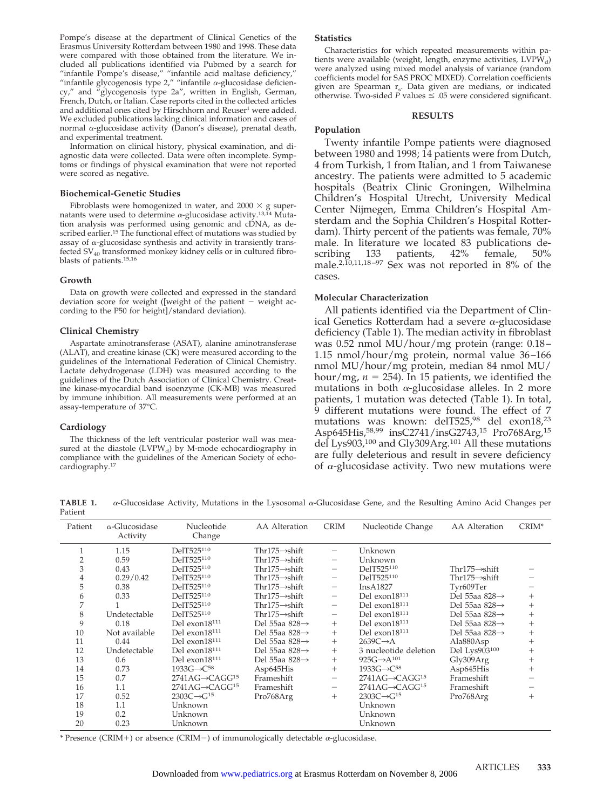Pompe's disease at the department of Clinical Genetics of the Erasmus University Rotterdam between 1980 and 1998. These data were compared with those obtained from the literature. We included all publications identified via Pubmed by a search for "infantile Pompe's disease," "infantile acid maltase deficiency," "infantile glycogenosis type 2," "infantile  $\alpha$ -glucosidase deficiency," and "glycogenosis type 2a", written in English, German, French, Dutch, or Italian. Case reports cited in the collected articles and additional ones cited by Hirschhorn and Reuser<sup>1</sup> were added. We excluded publications lacking clinical information and cases of normal  $\alpha$ -glucosidase activity (Danon's disease), prenatal death, and experimental treatment.

Information on clinical history, physical examination, and diagnostic data were collected. Data were often incomplete. Symptoms or findings of physical examination that were not reported were scored as negative.

## **Biochemical-Genetic Studies**

Fibroblasts were homogenized in water, and  $2000 \times g$  supernatants were used to determine  $\alpha$ -glucosidase activity.<sup>13,14</sup> Mutation analysis was performed using genomic and cDNA, as described earlier.<sup>15</sup> The functional effect of mutations was studied by assay of  $\alpha$ -glucosidase synthesis and activity in transiently transfected  $SV_{40}$  transformed monkey kidney cells or in cultured fibroblasts of patients.15,16

## **Growth**

Data on growth were collected and expressed in the standard deviation score for weight ([weight of the patient - weight according to the P50 for height]/standard deviation).

## **Clinical Chemistry**

Aspartate aminotransferase (ASAT), alanine aminotransferase (ALAT), and creatine kinase (CK) were measured according to the guidelines of the International Federation of Clinical Chemistry. Lactate dehydrogenase (LDH) was measured according to the guidelines of the Dutch Association of Clinical Chemistry. Creatine kinase-myocardial band isoenzyme (CK-MB) was measured by immune inhibition. All measurements were performed at an assay-temperature of 37°C.

## **Cardiology**

The thickness of the left ventricular posterior wall was measured at the diastole (LVPWd) by M-mode echocardiography in compliance with the guidelines of the American Society of echocardiography.17

# **Statistics**

Characteristics for which repeated measurements within patients were available (weight, length, enzyme activities,  $LVPW_d$ ) were analyzed using mixed model analysis of variance (random coefficients model for SAS PROC MIXED). Correlation coefficients given are Spearman r<sub>s</sub>. Data given are medians, or indicated otherwise. Two-sided  $P$  values  $\leq .05$  were considered significant.

# **RESULTS**

# **Population**

Twenty infantile Pompe patients were diagnosed between 1980 and 1998; 14 patients were from Dutch, 4 from Turkish, 1 from Italian, and 1 from Taiwanese ancestry. The patients were admitted to 5 academic hospitals (Beatrix Clinic Groningen, Wilhelmina Children's Hospital Utrecht, University Medical Center Nijmegen, Emma Children's Hospital Amsterdam and the Sophia Children's Hospital Rotterdam). Thirty percent of the patients was female, 70% male. In literature we located 83 publications describing 133 patients, 42% female, 50% scribing 133 patients, 42% female, 50% male.<sup>2,10,11,18–97</sup> Sex was not reported in  $8\%$  of the cases.

## **Molecular Characterization**

All patients identified via the Department of Clinical Genetics Rotterdam had a severe  $\alpha$ -glucosidase deficiency (Table 1). The median activity in fibroblast was 0.52 nmol MU/hour/mg protein (range: 0.18– 1.15 nmol/hour/mg protein, normal value 36–166 nmol MU/hour/mg protein, median 84 nmol MU/ hour/mg,  $n = 254$ ). In 15 patients, we identified the mutations in both  $\alpha$ -glucosidase alleles. In 2 more patients, 1 mutation was detected (Table 1). In total, 9 different mutations were found. The effect of 7 mutations was known: delT525,<sup>98</sup> del exon18,<sup>23</sup> Asp645His,58,99 insC2741/insG2743,15 Pro768Arg,15 del Lys903,<sup>100</sup> and Gly309Arg.<sup>101</sup> All these mutations are fully deleterious and result in severe deficiency of  $\alpha$ -glucosidase activity. Two new mutations were

TABLE 1.  $\alpha$ -Glucosidase Activity, Mutations in the Lysosomal  $\alpha$ -Glucosidase Gene, and the Resulting Amino Acid Changes per Patient

| Patient        | $\alpha$ -Glucosidase<br>Activity | Nucleotide<br>Change           | AA Alteration              | <b>CRIM</b>              | Nucleotide Change                   | AA Alteration              | CRIM*           |
|----------------|-----------------------------------|--------------------------------|----------------------------|--------------------------|-------------------------------------|----------------------------|-----------------|
|                | 1.15                              | DelT525110                     | Thr175 $\rightarrow$ shift |                          | Unknown                             |                            |                 |
| $\overline{2}$ | 0.59                              | DelT525110                     | Thr175 $\rightarrow$ shift |                          | Unknown                             |                            |                 |
| 3              | 0.43                              | DelT525110                     | Thr175 $\rightarrow$ shift | -                        | DelT525110                          | Thr175 $\rightarrow$ shift |                 |
| 4              | 0.29/0.42                         | DelT525110                     | Thr175 $\rightarrow$ shift | $\overline{\phantom{m}}$ | DelT525110                          | Thr175 $\rightarrow$ shift |                 |
| 5              | 0.38                              | DelT525110                     | Thr175 $\rightarrow$ shift | $\overline{\phantom{0}}$ | InsA1827                            | Tyr609Ter                  |                 |
| 6              | 0.33                              | DelT525110                     | Thr175 $\rightarrow$ shift | $\overline{\phantom{0}}$ | Del exon $18^{111}$                 | Del 55aa 828 $\rightarrow$ | $^{+}$          |
| 7              |                                   | DelT525110                     | Thr175 $\rightarrow$ shift | $\qquad \qquad$          | Del exon $18^{111}$                 | Del 55aa 828→              | $^{+}$          |
| 8              | Undetectable                      | DelT525110                     | Thr175 $\rightarrow$ shift | $\overline{\phantom{0}}$ | Del exon18111                       | Del 55aa 828→              | $\! + \!\!\!\!$ |
| 9              | 0.18                              | Del exon18111                  | Del 55aa 828 $\rightarrow$ | $^{+}$                   | Del exon18 <sup>111</sup>           | Del 55aa 828→              | $^{+}$          |
| 10             | Not available                     | Del exon18 <sup>111</sup>      | Del 55aa 828 $\rightarrow$ | $^{+}$                   | Del exon18 <sup>111</sup>           | Del 55aa 828→              | $^{+}$          |
| 11             | 0.44                              | Del exon18 <sup>111</sup>      | Del 55aa 828 $\rightarrow$ | $+$                      | $2639C \rightarrow A$               | Ala880Asp                  | $^{+}$          |
| 12             | Undetectable                      | Del exon18 <sup>111</sup>      | Del 55aa 828→              | $^{+}$                   | 3 nucleotide deletion               | Del Lys903100              | $^{+}$          |
| 13             | 0.6                               | Del exon18111                  | Del 55aa 828 $\rightarrow$ | $^{+}$                   | 925G $\rightarrow$ A <sup>101</sup> | Gly309Arg                  | $^{+}$          |
| 14             | 0.73                              | 1933 $G \rightarrow C^{58}$    | Asp645His                  | $^{+}$                   | 1933 $G \rightarrow C^{58}$         | Asp645His                  | $^{+}$          |
| 15             | 0.7                               | $2741AG \rightarrow CAGG^{15}$ | Frameshift                 |                          | $2741AG \rightarrow CAGG^{15}$      | Frameshift                 |                 |
| 16             | 1.1                               | $2741AG \rightarrow CAGG^{15}$ | Frameshift                 | $\overline{\phantom{0}}$ | $2741AG \rightarrow CAGG^{15}$      | Frameshift                 |                 |
| 17             | 0.52                              | $2303C \rightarrow G^{15}$     | Pro768Arg                  | $^{+}$                   | $2303C \rightarrow G^{15}$          | Pro768Arg                  | $^+$            |
| 18             | 1.1                               | Unknown                        |                            |                          | Unknown                             |                            |                 |
| 19             | 0.2                               | Unknown                        |                            |                          | Unknown                             |                            |                 |
| 20             | 0.23                              | Unknown                        |                            |                          | Unknown                             |                            |                 |

\* Presence (CRIM+) or absence (CRIM-) of immunologically detectable  $\alpha$ -glucosidase.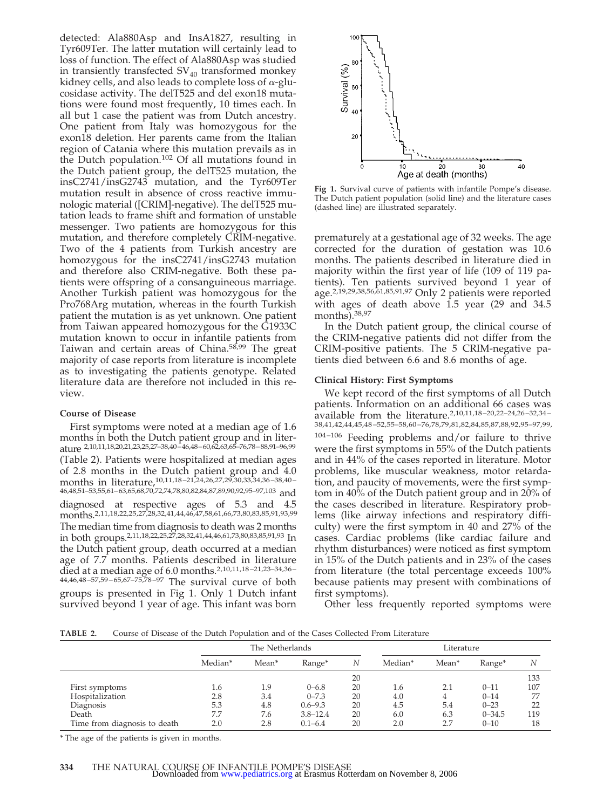detected: Ala880Asp and InsA1827, resulting in Tyr609Ter. The latter mutation will certainly lead to loss of function. The effect of Ala880Asp was studied in transiently transfected  $SV_{40}$  transformed monkey kidney cells, and also leads to complete loss of  $\alpha$ -glucosidase activity. The delT525 and del exon18 mutations were found most frequently, 10 times each. In all but 1 case the patient was from Dutch ancestry. One patient from Italy was homozygous for the exon18 deletion. Her parents came from the Italian region of Catania where this mutation prevails as in the Dutch population.<sup>102</sup> Of all mutations found in the Dutch patient group, the delT525 mutation, the insC2741/insG2743 mutation, and the Tyr609Ter mutation result in absence of cross reactive immunologic material ([CRIM]-negative). The delT525 mutation leads to frame shift and formation of unstable messenger. Two patients are homozygous for this mutation, and therefore completely CRIM-negative. Two of the 4 patients from Turkish ancestry are homozygous for the insC2741/insG2743 mutation and therefore also CRIM-negative. Both these patients were offspring of a consanguineous marriage. Another Turkish patient was homozygous for the Pro768Arg mutation, whereas in the fourth Turkish patient the mutation is as yet unknown. One patient from Taiwan appeared homozygous for the G1933C mutation known to occur in infantile patients from Taiwan and certain areas of China.58,99 The great majority of case reports from literature is incomplete as to investigating the patients genotype. Related literature data are therefore not included in this review.

# **Course of Disease**

First symptoms were noted at a median age of 1.6 months in both the Dutch patient group and in literature 2,10,11,18,20,21,23,25,27–38,40–46,48–60,62,63,65–76,78–88,91–96,99 (Table 2). Patients were hospitalized at median ages of 2.8 months in the Dutch patient group and 4.0 months in literature,10,11,18–21,24,26,27,29,30,33,34,36–38,40– 46,48,51–53,55,61–63,65,68,70,72,74,78,80,82,84,87,89,90,92,95–97,103 and diagnosed at respective ages of 5.3 and 4.5 months.2,11,18,22,25,27,28,32,41,44,46,47,58,61,66,73,80,83,85,91,93,99 The median time from diagnosis to death was 2 months in both groups.2,11,18,22,25,27,28,32,41,44,46,61,73,80,83,85,91,93 In the Dutch patient group, death occurred at a median age of 7.7 months. Patients described in literature died at a median age of 6.0 months.2,10,11,18–21,23–34,36– 44,46,48–57,59–65,67–75,78–97 The survival curve of both groups is presented in Fig 1. Only 1 Dutch infant survived beyond 1 year of age. This infant was born



**Fig 1.** Survival curve of patients with infantile Pompe's disease. The Dutch patient population (solid line) and the literature cases (dashed line) are illustrated separately.

prematurely at a gestational age of 32 weeks. The age corrected for the duration of gestation was 10.6 months. The patients described in literature died in majority within the first year of life (109 of 119 patients). Ten patients survived beyond 1 year of age.2,19,29,38,56,61,85,91,97 Only 2 patients were reported with ages of death above  $1.5$  year (29 and 34.5) months).38,97

In the Dutch patient group, the clinical course of the CRIM-negative patients did not differ from the CRIM-positive patients. The 5 CRIM-negative patients died between 6.6 and 8.6 months of age.

# **Clinical History: First Symptoms**

We kept record of the first symptoms of all Dutch patients. Information on an additional 66 cases was available from the literature.2,10,11,18–20,22–24,26–32,34– 38,41,42,44,45,48 –52,55–58,60 –76,78,79,81,82,84,85,87,88,92,95–97,99, 104-106 Feeding problems and/or failure to thrive were the first symptoms in 55% of the Dutch patients and in 44% of the cases reported in literature. Motor problems, like muscular weakness, motor retardation, and paucity of movements, were the first symptom in 40% of the Dutch patient group and in 20% of the cases described in literature. Respiratory problems (like airway infections and respiratory difficulty) were the first symptom in 40 and 27% of the cases. Cardiac problems (like cardiac failure and rhythm disturbances) were noticed as first symptom in 15% of the Dutch patients and in 23% of the cases from literature (the total percentage exceeds 100% because patients may present with combinations of first symptoms).

Other less frequently reported symptoms were

**TABLE 2.** Course of Disease of the Dutch Population and of the Cases Collected From Literature

|                              | The Netherlands |       |              | Literature |         |                   |            |     |
|------------------------------|-----------------|-------|--------------|------------|---------|-------------------|------------|-----|
|                              | Median*         | Mean* | Range*       | N          | Median* | Mean <sup>*</sup> | Range*     | N   |
|                              |                 |       |              | 20         |         |                   |            | 133 |
| First symptoms               | 1.6             | 1.9   | $0 - 6.8$    | 20         | 1.6     | 2.1               | $0 - 11$   | 107 |
| Hospitalization              | 2.8             | 3.4   | $0 - 7.3$    | 20         | 4.0     |                   | $0 - 14$   | 77  |
| Diagnosis                    | 5.3             | 4.8   | $0.6 - 9.3$  | 20         | 4.5     | 5.4               | $0 - 23$   | 22  |
| Death                        | 7.7             | 7.6   | $3.8 - 12.4$ | 20         | 6.0     | 6.3               | $0 - 34.5$ | 119 |
| Time from diagnosis to death | 2.0             | 2.8   | $0.1 - 6.4$  | 20         | 2.0     | 2.7               | $0 - 10$   | 18  |

\* The age of the patients is given in months.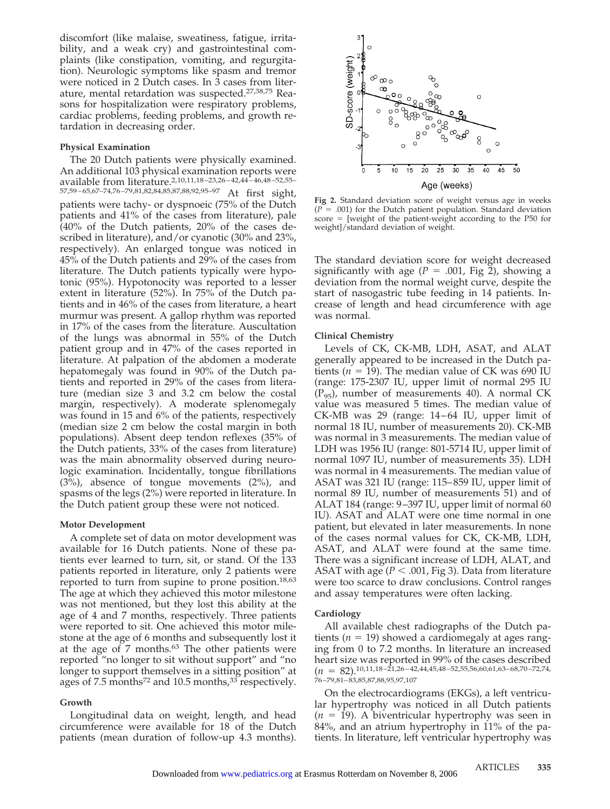discomfort (like malaise, sweatiness, fatigue, irritability, and a weak cry) and gastrointestinal complaints (like constipation, vomiting, and regurgitation). Neurologic symptoms like spasm and tremor were noticed in 2 Dutch cases. In 3 cases from literature, mental retardation was suspected.27,38,75 Reasons for hospitalization were respiratory problems, cardiac problems, feeding problems, and growth retardation in decreasing order.

# **Physical Examination**

The 20 Dutch patients were physically examined. An additional 103 physical examination reports were available from literature.2,10,11,18–23,26–42,44–46,48–52,55– 57,59–65,67–74,76–79,81,82,84,85,87,88,92,95–97 At first sight, patients were tachy- or dyspnoeic (75% of the Dutch patients and 41% of the cases from literature), pale (40% of the Dutch patients, 20% of the cases described in literature), and/or cyanotic (30% and 23%, respectively). An enlarged tongue was noticed in  $45\%$  of the Dutch patients and  $29\%$  of the cases from literature. The Dutch patients typically were hypotonic (95%). Hypotonocity was reported to a lesser extent in literature (52%). In 75% of the Dutch patients and in 46% of the cases from literature, a heart murmur was present. A gallop rhythm was reported in 17% of the cases from the literature. Auscultation of the lungs was abnormal in 55% of the Dutch patient group and in 47% of the cases reported in literature. At palpation of the abdomen a moderate hepatomegaly was found in 90% of the Dutch patients and reported in 29% of the cases from literature (median size 3 and 3.2 cm below the costal margin, respectively). A moderate splenomegaly was found in 15 and 6% of the patients, respectively (median size 2 cm below the costal margin in both populations). Absent deep tendon reflexes (35% of the Dutch patients, 33% of the cases from literature) was the main abnormality observed during neurologic examination. Incidentally, tongue fibrillations (3%), absence of tongue movements (2%), and spasms of the legs (2%) were reported in literature. In the Dutch patient group these were not noticed.

# **Motor Development**

A complete set of data on motor development was available for 16 Dutch patients. None of these patients ever learned to turn, sit, or stand. Of the 133 patients reported in literature, only 2 patients were reported to turn from supine to prone position.18,63 The age at which they achieved this motor milestone was not mentioned, but they lost this ability at the age of 4 and 7 months, respectively. Three patients were reported to sit. One achieved this motor milestone at the age of 6 months and subsequently lost it at the age of  $7$  months.<sup>63</sup> The other patients were reported "no longer to sit without support" and "no longer to support themselves in a sitting position" at ages of 7.5 months<sup>72</sup> and 10.5 months,<sup>33</sup> respectively.

# **Growth**

Longitudinal data on weight, length, and head circumference were available for 18 of the Dutch patients (mean duration of follow-up 4.3 months).



**Fig 2.** Standard deviation score of weight versus age in weeks  $(P = .001)$  for the Dutch patient population. Standard deviation  $score = [weight of the patient-weight according to the P50 for$ weight]/standard deviation of weight.

The standard deviation score for weight decreased significantly with age ( $P = .001$ , Fig 2), showing a deviation from the normal weight curve, despite the start of nasogastric tube feeding in 14 patients. Increase of length and head circumference with age was normal.

# **Clinical Chemistry**

Levels of CK, CK-MB, LDH, ASAT, and ALAT generally appeared to be increased in the Dutch patients ( $n = 19$ ). The median value of CK was 690 IU (range: 175-2307 IU, upper limit of normal 295 IU  $(P_{95})$ , number of measurements 40). A normal CK value was measured 5 times. The median value of CK-MB was 29 (range: 14–64 IU, upper limit of normal 18 IU, number of measurements 20). CK-MB was normal in 3 measurements. The median value of LDH was 1956 IU (range: 801-5714 IU, upper limit of normal 1097 IU, number of measurements 35). LDH was normal in 4 measurements. The median value of ASAT was 321 IU (range: 115–859 IU, upper limit of normal 89 IU, number of measurements 51) and of ALAT 184 (range: 9–397 IU, upper limit of normal 60 IU). ASAT and ALAT were one time normal in one patient, but elevated in later measurements. In none of the cases normal values for CK, CK-MB, LDH, ASAT, and ALAT were found at the same time. There was a significant increase of LDH, ALAT, and ASAT with age ( $P < .001$ , Fig 3). Data from literature were too scarce to draw conclusions. Control ranges and assay temperatures were often lacking.

# **Cardiology**

All available chest radiographs of the Dutch patients ( $n = 19$ ) showed a cardiomegaly at ages ranging from 0 to 7.2 months. In literature an increased heart size was reported in 99% of the cases described  $(n = 82)$ , 10, 11, 18 - 21, 26 - 42, 44, 45, 48 - 52, 55, 56, 60, 61, 63 - 68, 70 - 72, 74, 76–79,81–83,85,87,88,95,97,107

On the electrocardiograms (EKGs), a left ventricular hypertrophy was noticed in all Dutch patients  $(n = 19)$ . A biventricular hypertrophy was seen in 84%, and an atrium hypertrophy in 11% of the patients. In literature, left ventricular hypertrophy was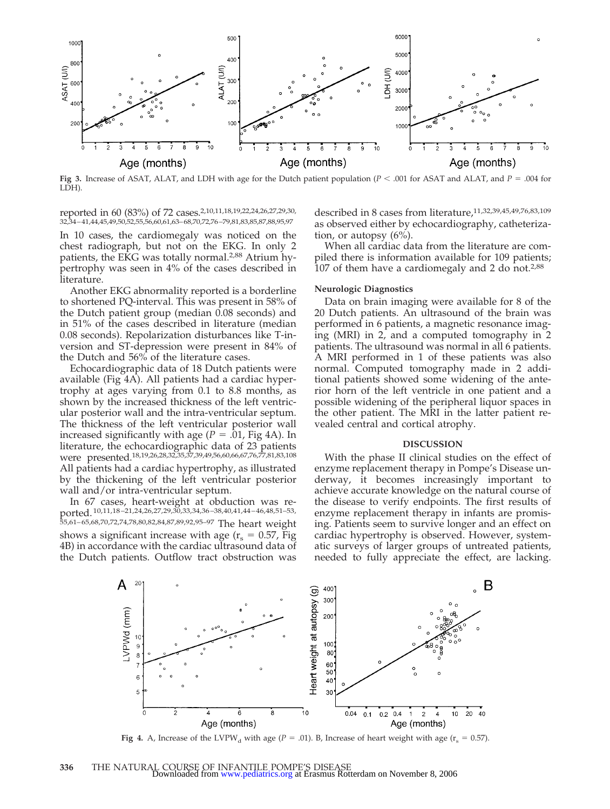

**Fig 3.** Increase of ASAT, ALAT, and LDH with age for the Dutch patient population ( $P < .001$  for ASAT and ALAT, and  $P = .004$  for LDH).

reported in 60 (83%) of 72 cases.2,10,11,18,19,22,24,26,27,29,30, 32,34–41,44,45,49,50,52,55,56,60,61,63–68,70,72,76–79,81,83,85,87,88,95,97

In 10 cases, the cardiomegaly was noticed on the chest radiograph, but not on the EKG. In only 2 patients, the EKG was totally normal.2,88 Atrium hypertrophy was seen in 4% of the cases described in literature.

Another EKG abnormality reported is a borderline to shortened PQ-interval. This was present in 58% of the Dutch patient group (median  $0.08$  seconds) and in 51% of the cases described in literature (median 0.08 seconds). Repolarization disturbances like T-inversion and ST-depression were present in 84% of the Dutch and 56% of the literature cases.

Echocardiographic data of 18 Dutch patients were available (Fig 4A). All patients had a cardiac hypertrophy at ages varying from 0.1 to 8.8 months, as shown by the increased thickness of the left ventricular posterior wall and the intra-ventricular septum. The thickness of the left ventricular posterior wall increased significantly with age  $(P = .01, Fig 4A)$ . In literature, the echocardiographic data of 23 patients were presented.18,19,26,28,32,35,37,39,49,56,60,66,67,76,77,81,83,108 All patients had a cardiac hypertrophy, as illustrated by the thickening of the left ventricular posterior wall and/or intra-ventricular septum.

In 67 cases, heart-weight at obduction was reported. 10,11,18–21,24,26,27,29,30,33,34,36–38,40,41,44–46,48,51–53, 55,61–65,68,70,72,74,78,80,82,84,87,89,92,95–97 The heart weight shows a significant increase with age  $(r_s = 0.57, Fig$ 4B) in accordance with the cardiac ultrasound data of the Dutch patients. Outflow tract obstruction was described in 8 cases from literature,11,32,39,45,49,76,83,109 as observed either by echocardiography, catheterization, or autopsy (6%).

When all cardiac data from the literature are compiled there is information available for 109 patients; 107 of them have a cardiomegaly and 2 do not.<sup>2,88</sup>

# **Neurologic Diagnostics**

Data on brain imaging were available for 8 of the 20 Dutch patients. An ultrasound of the brain was performed in 6 patients, a magnetic resonance imaging (MRI) in 2, and a computed tomography in 2 patients. The ultrasound was normal in all 6 patients. A MRI performed in 1 of these patients was also normal. Computed tomography made in 2 additional patients showed some widening of the anterior horn of the left ventricle in one patient and a possible widening of the peripheral liquor spaces in the other patient. The MRI in the latter patient revealed central and cortical atrophy.

#### **DISCUSSION**

With the phase II clinical studies on the effect of enzyme replacement therapy in Pompe's Disease underway, it becomes increasingly important to achieve accurate knowledge on the natural course of the disease to verify endpoints. The first results of enzyme replacement therapy in infants are promising. Patients seem to survive longer and an effect on cardiac hypertrophy is observed. However, systematic surveys of larger groups of untreated patients, needed to fully appreciate the effect, are lacking.



**Fig 4.** A, Increase of the LVPW<sub>d</sub> with age ( $P = .01$ ). B, Increase of heart weight with age ( $r_s = 0.57$ ).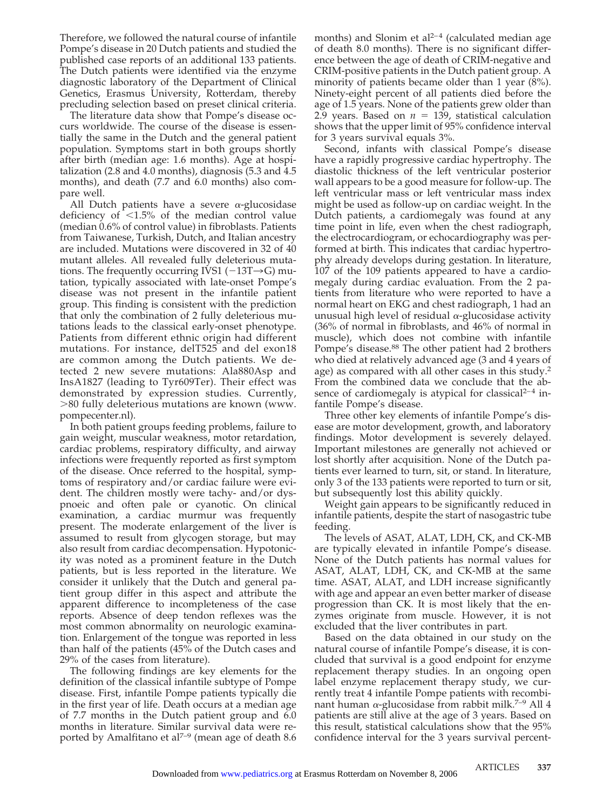Therefore, we followed the natural course of infantile Pompe's disease in 20 Dutch patients and studied the published case reports of an additional 133 patients. The Dutch patients were identified via the enzyme diagnostic laboratory of the Department of Clinical Genetics, Erasmus University, Rotterdam, thereby precluding selection based on preset clinical criteria.

The literature data show that Pompe's disease occurs worldwide. The course of the disease is essentially the same in the Dutch and the general patient population. Symptoms start in both groups shortly after birth (median age: 1.6 months). Age at hospitalization (2.8 and 4.0 months), diagnosis (5.3 and 4.5 months), and death (7.7 and 6.0 months) also compare well.

All Dutch patients have a severe  $\alpha$ -glucosidase deficiency of  $\langle 1.5\%$  of the median control value (median 0.6% of control value) in fibroblasts. Patients from Taiwanese, Turkish, Dutch, and Italian ancestry are included. Mutations were discovered in 32 of 40 mutant alleles. All revealed fully deleterious mutations. The frequently occurring IVS1  $(-13T\rightarrow G)$  mutation, typically associated with late-onset Pompe's disease was not present in the infantile patient group. This finding is consistent with the prediction that only the combination of 2 fully deleterious mutations leads to the classical early-onset phenotype. Patients from different ethnic origin had different mutations. For instance, delT525 and del exon18 are common among the Dutch patients. We detected 2 new severe mutations: Ala880Asp and InsA1827 (leading to Tyr609Ter). Their effect was demonstrated by expression studies. Currently, 80 fully deleterious mutations are known (www. pompecenter.nl).

In both patient groups feeding problems, failure to gain weight, muscular weakness, motor retardation, cardiac problems, respiratory difficulty, and airway infections were frequently reported as first symptom of the disease. Once referred to the hospital, symptoms of respiratory and/or cardiac failure were evident. The children mostly were tachy- and/or dyspnoeic and often pale or cyanotic. On clinical examination, a cardiac murmur was frequently present. The moderate enlargement of the liver is assumed to result from glycogen storage, but may also result from cardiac decompensation. Hypotonicity was noted as a prominent feature in the Dutch patients, but is less reported in the literature. We consider it unlikely that the Dutch and general patient group differ in this aspect and attribute the apparent difference to incompleteness of the case reports. Absence of deep tendon reflexes was the most common abnormality on neurologic examination. Enlargement of the tongue was reported in less than half of the patients (45% of the Dutch cases and 29% of the cases from literature).

The following findings are key elements for the definition of the classical infantile subtype of Pompe disease. First, infantile Pompe patients typically die in the first year of life. Death occurs at a median age of 7.7 months in the Dutch patient group and 6.0 months in literature. Similar survival data were reported by Amalfitano et al<sup>7-9</sup> (mean age of death 8.6

months) and Slonim et al<sup>2-4</sup> (calculated median age of death 8.0 months). There is no significant difference between the age of death of CRIM-negative and CRIM-positive patients in the Dutch patient group. A minority of patients became older than 1 year (8%). Ninety-eight percent of all patients died before the age of 1.5 years. None of the patients grew older than 2.9 years. Based on  $n = 139$ , statistical calculation shows that the upper limit of 95% confidence interval for 3 years survival equals 3%.

Second, infants with classical Pompe's disease have a rapidly progressive cardiac hypertrophy. The diastolic thickness of the left ventricular posterior wall appears to be a good measure for follow-up. The left ventricular mass or left ventricular mass index might be used as follow-up on cardiac weight. In the Dutch patients, a cardiomegaly was found at any time point in life, even when the chest radiograph, the electrocardiogram, or echocardiography was performed at birth. This indicates that cardiac hypertrophy already develops during gestation. In literature, 107 of the 109 patients appeared to have a cardiomegaly during cardiac evaluation. From the 2 patients from literature who were reported to have a normal heart on EKG and chest radiograph, 1 had an unusual high level of residual  $\alpha$ -glucosidase activity (36% of normal in fibroblasts, and 46% of normal in muscle), which does not combine with infantile Pompe's disease.<sup>88</sup> The other patient had 2 brothers who died at relatively advanced age (3 and 4 years of age) as compared with all other cases in this study.2 From the combined data we conclude that the absence of cardiomegaly is atypical for classical<sup>2-4</sup> infantile Pompe's disease.

Three other key elements of infantile Pompe's disease are motor development, growth, and laboratory findings. Motor development is severely delayed. Important milestones are generally not achieved or lost shortly after acquisition. None of the Dutch patients ever learned to turn, sit, or stand. In literature, only 3 of the 133 patients were reported to turn or sit, but subsequently lost this ability quickly.

Weight gain appears to be significantly reduced in infantile patients, despite the start of nasogastric tube feeding.

The levels of ASAT, ALAT, LDH, CK, and CK-MB are typically elevated in infantile Pompe's disease. None of the Dutch patients has normal values for ASAT, ALAT, LDH, CK, and CK-MB at the same time. ASAT, ALAT, and LDH increase significantly with age and appear an even better marker of disease progression than CK. It is most likely that the enzymes originate from muscle. However, it is not excluded that the liver contributes in part.

Based on the data obtained in our study on the natural course of infantile Pompe's disease, it is concluded that survival is a good endpoint for enzyme replacement therapy studies. In an ongoing open label enzyme replacement therapy study, we currently treat 4 infantile Pompe patients with recombinant human  $\alpha$ -glucosidase from rabbit milk.<sup>7–9</sup> All 4 patients are still alive at the age of 3 years. Based on this result, statistical calculations show that the 95% confidence interval for the 3 years survival percent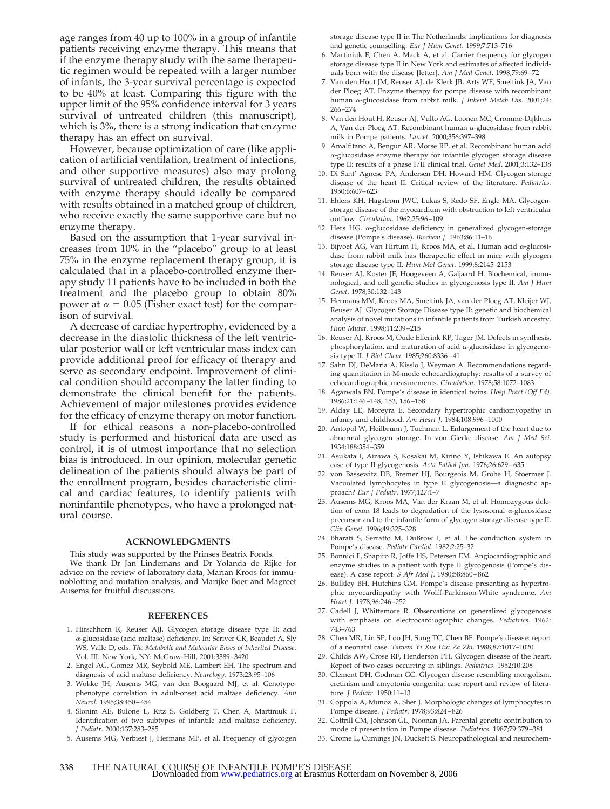age ranges from 40 up to 100% in a group of infantile patients receiving enzyme therapy. This means that if the enzyme therapy study with the same therapeutic regimen would be repeated with a larger number of infants, the 3-year survival percentage is expected to be 40% at least. Comparing this figure with the upper limit of the 95% confidence interval for 3 years survival of untreated children (this manuscript), which is 3%, there is a strong indication that enzyme therapy has an effect on survival.

However, because optimization of care (like application of artificial ventilation, treatment of infections, and other supportive measures) also may prolong survival of untreated children, the results obtained with enzyme therapy should ideally be compared with results obtained in a matched group of children, who receive exactly the same supportive care but no enzyme therapy.

Based on the assumption that 1-year survival increases from 10% in the "placebo" group to at least 75% in the enzyme replacement therapy group, it is calculated that in a placebo-controlled enzyme therapy study 11 patients have to be included in both the treatment and the placebo group to obtain 80% power at  $\alpha = 0.05$  (Fisher exact test) for the comparison of survival.

A decrease of cardiac hypertrophy, evidenced by a decrease in the diastolic thickness of the left ventricular posterior wall or left ventricular mass index can provide additional proof for efficacy of therapy and serve as secondary endpoint. Improvement of clinical condition should accompany the latter finding to demonstrate the clinical benefit for the patients. Achievement of major milestones provides evidence for the efficacy of enzyme therapy on motor function.

If for ethical reasons a non-placebo-controlled study is performed and historical data are used as control, it is of utmost importance that no selection bias is introduced. In our opinion, molecular genetic delineation of the patients should always be part of the enrollment program, besides characteristic clinical and cardiac features, to identify patients with noninfantile phenotypes, who have a prolonged natural course.

#### **ACKNOWLEDGMENTS**

This study was supported by the Prinses Beatrix Fonds.

We thank Dr Jan Lindemans and Dr Yolanda de Rijke for advice on the review of laboratory data, Marian Kroos for immunoblotting and mutation analysis, and Marijke Boer and Magreet Ausems for fruitful discussions.

#### **REFERENCES**

- 1. Hirschhorn R, Reuser AJJ. Glycogen storage disease type II: acid -glucosidase (acid maltase) deficiency. In: Scriver CR, Beaudet A, Sly WS, Valle D, eds. *The Metabolic and Molecular Bases of Inherited Disease.* Vol. III. New York, NY: McGraw-Hill, 2001:3389–3420
- 2. Engel AG, Gomez MR, Seybold ME, Lambert EH. The spectrum and diagnosis of acid maltase deficiency. *Neurology*. 1973;23:95–106
- 3. Wokke JH, Ausems MG, van den Boogaard MJ, et al. Genotypephenotype correlation in adult-onset acid maltase deficiency. *Ann Neurol*. 1995;38:450–454
- 4. Slonim AE, Bulone L, Ritz S, Goldberg T, Chen A, Martiniuk F. Identification of two subtypes of infantile acid maltase deficiency. *J Pediatr*. 2000;137:283–285
- 5. Ausems MG, Verbiest J, Hermans MP, et al. Frequency of glycogen

storage disease type II in The Netherlands: implications for diagnosis and genetic counselling. *Eur J Hum Genet*. 1999;7:713–716

- 6. Martiniuk F, Chen A, Mack A, et al. Carrier frequency for glycogen storage disease type II in New York and estimates of affected individuals born with the disease [letter]. *Am J Med Genet*. 1998;79:69–72
- 7. Van den Hout JM, Reuser AJ, de Klerk JB, Arts WF, Smeitink JA, Van der Ploeg AT. Enzyme therapy for pompe disease with recombinant human α-glucosidase from rabbit milk. *J Inherit Metab Dis*. 2001;24: 266–274
- 8. Van den Hout H, Reuser AJ, Vulto AG, Loonen MC, Cromme-Dijkhuis A, Van der Ploeg AT. Recombinant human  $\alpha$ -glucosidase from rabbit milk in Pompe patients. *Lancet*. 2000;356:397–398
- 9. Amalfitano A, Bengur AR, Morse RP, et al. Recombinant human acid -glucosidase enzyme therapy for infantile glycogen storage disease type II: results of a phase I/II clinical trial. *Genet Med*. 2001;3:132–138
- 10. Di Sant' Agnese PA, Andersen DH, Howard HM. Glycogen storage disease of the heart II. Critical review of the literature. *Pediatrics.* 1950;6:607–623
- 11. Ehlers KH, Hagstrom JWC, Lukas S, Redo SF, Engle MA. Glycogenstorage disease of the myocardium with obstruction to left ventricular outflow. *Circulation*. 1962;25:96–109
- 12. Hers HG.  $\alpha$ -glucosidase deficiency in generalized glycogen-storage disease (Pompe's disease). *Biochem J*. 1963;86:11–16
- 13. Bijvoet AG, Van Hirtum H, Kroos MA, et al. Human acid  $\alpha$ -glucosidase from rabbit milk has therapeutic effect in mice with glycogen storage disease type II. *Hum Mol Genet*. 1999;8:2145–2153
- 14. Reuser AJ, Koster JF, Hoogeveen A, Galjaard H. Biochemical, immunological, and cell genetic studies in glycogenosis type II. *Am J Hum Genet*. 1978;30:132–143
- 15. Hermans MM, Kroos MA, Smeitink JA, van der Ploeg AT, Kleijer WJ, Reuser AJ. Glycogen Storage Disease type II: genetic and biochemical analysis of novel mutations in infantile patients from Turkish ancestry. *Hum Mutat*. 1998;11:209–215
- 16. Reuser AJ, Kroos M, Oude Elferink RP, Tager JM. Defects in synthesis, phosphorylation, and maturation of acid  $\alpha$ -glucosidase in glycogenosis type II. *J Biol Chem*. 1985;260:8336–41
- 17. Sahn DJ, DeMaria A, Kisslo J, Weyman A. Recommendations regarding quantitation in M-mode echocardiography: results of a survey of echocardiographic measurements. *Circulation*. 1978;58:1072–1083
- 18. Agarwala BN. Pompe's disease in identical twins. *Hosp Pract (Off Ed)*. 1986;21:146–148, 153, 156–158
- 19. Alday LE, Moreyra E. Secondary hypertrophic cardiomyopathy in infancy and childhood. *Am Heart J*. 1984;108:996–1000
- 20. Antopol W, Heilbrunn J, Tuchman L. Enlargement of the heart due to abnormal glycogen storage. In von Gierke disease. *Am J Med Sci*. 1934;188:354–359
- 21. Asukata I, Aizawa S, Kosakai M, Kirino Y, Ishikawa E. An autopsy case of type II glycogenosis. *Acta Pathol Jpn*. 1976;26:629–635
- 22. von Bassewitz DB, Bremer HJ, Bourgeois M, Grobe H, Stoermer J. Vacuolated lymphocytes in type II glycogenosis—a diagnostic approach? *Eur J Pediatr*. 1977;127:1–7
- 23. Ausems MG, Kroos MA, Van der Kraan M, et al. Homozygous deletion of exon 18 leads to degradation of the lysosomal  $\alpha$ -glucosidase precursor and to the infantile form of glycogen storage disease type II. *Clin Genet*. 1996;49:325–328
- 24. Bharati S, Serratto M, DuBrow I, et al. The conduction system in Pompe's disease. *Pediatr Cardiol*. 1982;2:25–32
- 25. Bonnici F, Shapiro R, Joffe HS, Petersen EM. Angiocardiographic and enzyme studies in a patient with type II glycogenosis (Pompe's disease). A case report. *S Afr Med J*. 1980;58:860–862
- 26. Bulkley BH, Hutchins GM. Pompe's disease presenting as hypertrophic myocardiopathy with Wolff-Parkinson-White syndrome. *Am Heart J*. 1978;96:246–252
- 27. Cadell J, Whittemore R. Observations on generalized glycogenosis with emphasis on electrocardiographic changes. *Pediatrics.* 1962: 743–763
- 28. Chen MR, Lin SP, Loo JH, Sung TC, Chen BF. Pompe's disease: report of a neonatal case. *Taiwan Yi Xue Hui Za Zhi*. 1988;87:1017–1020
- 29. Childs AW, Crose RF, Henderson PH. Glycogen disease of the heart. Report of two cases occurring in siblings. *Pediatrics*. 1952;10:208
- 30. Clement DH, Godman GC. Glycogen disease resembling mongolism, cretinism and amyotonia congenita; case report and review of literature. *J Pediatr.* 1950:11–13
- 31. Coppola A, Munoz A, Sher J. Morphologic changes of lymphocytes in Pompe disease. *J Pediatr*. 1978;93:824–826
- Cottrill CM, Johnson GL, Noonan JA. Parental genetic contribution to mode of presentation in Pompe disease. *Pediatrics*. 1987;79:379–381
- 33. Crome L, Cumings JN, Duckett S. Neuropathological and neurochem-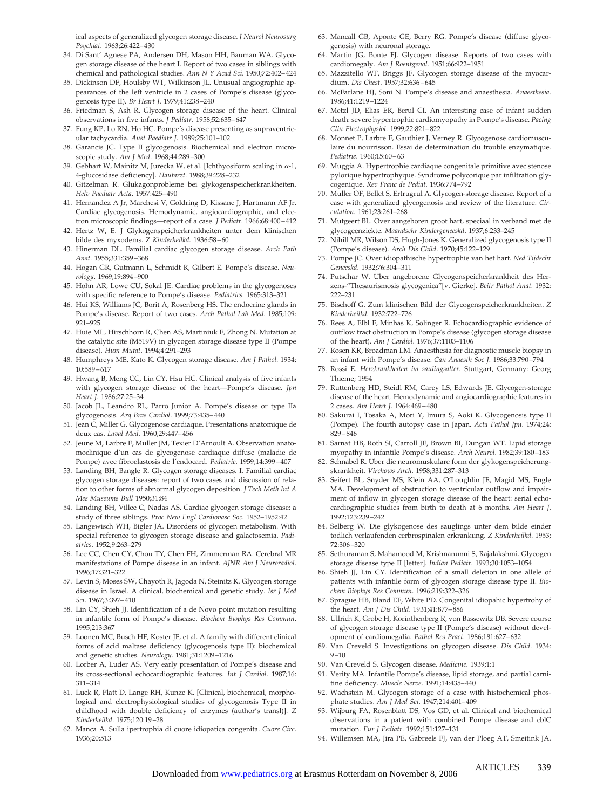ical aspects of generalized glycogen storage disease. *J Neurol Neurosurg Psychiat*. 1963;26:422–430

- 34. Di Sant' Agnese PA, Andersen DH, Mason HH, Bauman WA. Glycogen storage disease of the heart I. Report of two cases in siblings with chemical and pathological studies. *Ann N Y Acad Sci*. 1950;72:402–424
- 35. Dickinson DF, Houlsby WT, Wilkinson JL. Unusual angiographic appearances of the left ventricle in 2 cases of Pompe's disease (glycogenosis type II). *Br Heart J*. 1979;41:238–240
- 36. Friedman S, Ash R. Glycogen storage disease of the heart. Clinical observations in five infants. *J Pediatr*. 1958;52:635–647
- 37. Fung KP, Lo RN, Ho HC. Pompe's disease presenting as supraventricular tachycardia. *Aust Paediatr J*. 1989;25:101–102
- 38. Garancis JC. Type II glycogenosis. Biochemical and electron microscopic study. *Am J Med*. 1968;44:289–300
- 39. Gebhart W, Mainitz M, Jurecka W, et al. [Ichthyosiform scaling in  $\alpha$ -1, 4-glucosidase deficiency]. *Hautarzt*. 1988;39:228–232
- 40. Gitzelman R. Glukagonprobleme bei glykogenspeicherkrankheiten. *Helv Paediatr Acta*. 1957:425–490
- 41. Hernandez A Jr, Marchesi V, Goldring D, Kissane J, Hartmann AF Jr. Cardiac glycogenosis. Hemodynamic, angiocardiographic, and electron microscopic findings—report of a case. *J Pediatr*. 1966;68:400–412
- 42. Hertz W, E. J Glykogenspeicherkrankheiten unter dem klinischen bilde des myxodems. *Z Kinderheilkd.* 1936:58–60
- 43. Hinerman DL. Familial cardiac glycogen storage disease. *Arch Path Anat*. 1955;331:359–368
- 44. Hogan GR, Gutmann L, Schmidt R, Gilbert E. Pompe's disease. *Neurology*. 1969;19:894–900
- 45. Hohn AR, Lowe CU, Sokal JE. Cardiac problems in the glycogenoses with specific reference to Pompe's disease. *Pediatrics.* 1965:313–321
- 46. Hui KS, Williams JC, Borit A, Rosenberg HS. The endocrine glands in Pompe's disease. Report of two cases. *Arch Pathol Lab Med*. 1985;109: 921–925
- 47. Huie ML, Hirschhorn R, Chen AS, Martiniuk F, Zhong N. Mutation at the catalytic site (M519V) in glycogen storage disease type II (Pompe disease). *Hum Mutat*. 1994;4:291–293
- 48. Humphreys ME, Kato K. Glycogen storage disease. *Am J Pathol*. 1934; 10:589–617
- 49. Hwang B, Meng CC, Lin CY, Hsu HC. Clinical analysis of five infants with glycogen storage disease of the heart—Pompe's disease. *Jpn Heart J*. 1986;27:25–34
- 50. Jacob JL, Leandro RL, Parro Junior A. Pompe's disease or type IIa glycogenosis. *Arq Bras Cardiol*. 1999;73:435–440
- 51. Jean C, Miller G. Glycogenose cardiaque. Presentations anatomique de deux cas. *Laval Med*. 1960;29:447–456
- 52. Jeune M, Larbre F, Muller JM, Texier D'Arnoult A. Observation anatomoclinique d'un cas de glycogenose cardiaque diffuse (maladie de Pompe) avec fibroelastosis de l'endocard. *Pediatrie*. 1959;14:399–407
- 53. Landing BH, Bangle R. Glycogen storage diseases. I. Familial cardiac glycogen storage diseases: report of two cases and discussion of relation to other forms of abnormal glycogen deposition. *J Tech Meth Int A Mes Museums Bull* 1950;31:84
- 54. Landing BH, Villee C, Nadas AS. Cardiac glycogen storage disease: a study of three siblings. *Proc New Engl Cardiovasc Soc.* 1952–1952:42
- 55. Langewisch WH, Bigler JA. Disorders of glycogen metabolism. With special reference to glycogen storage disease and galactosemia. *Padiatrics*. 1952;9:263–279
- 56. Lee CC, Chen CY, Chou TY, Chen FH, Zimmerman RA. Cerebral MR manifestations of Pompe disease in an infant. *AJNR Am J Neuroradiol*. 1996;17:321–322
- 57. Levin S, Moses SW, Chayoth R, Jagoda N, Steinitz K. Glycogen storage disease in Israel. A clinical, biochemical and genetic study. *Isr J Med Sci*. 1967;3:397–410
- 58. Lin CY, Shieh JJ. Identification of a de Novo point mutation resulting in infantile form of Pompe's disease. *Biochem Biophys Res Commun*. 1995;213:367
- 59. Loonen MC, Busch HF, Koster JF, et al. A family with different clinical forms of acid maltase deficiency (glycogenosis type II): biochemical and genetic studies. *Neurology*. 1981;31:1209–1216
- 60. Lorber A, Luder AS. Very early presentation of Pompe's disease and its cross-sectional echocardiographic features. *Int J Cardiol*. 1987;16: 311–314
- 61. Luck R, Platt D, Lange RH, Kunze K. [Clinical, biochemical, morphological and electrophysiological studies of glycogenosis Type II in childhood with double deficiency of enzymes (author's transl)]. *Z Kinderheilkd*. 1975;120:19–28
- 62. Manca A. Sulla ipertrophia di cuore idiopatica congenita. *Cuore Circ*. 1936;20:513
- 63. Mancall GB, Aponte GE, Berry RG. Pompe's disease (diffuse glycogenosis) with neuronal storage.
- 64. Martin JG, Bonte FJ. Glycogen disease. Reports of two cases with cardiomegaly. *Am J Roentgenol*. 1951;66:922–1951
- 65. Mazzitello WF, Briggs JF. Glycogen storage disease of the myocardium. *Dis Chest*. 1957;32:636–645
- 66. McFarlane HJ, Soni N. Pompe's disease and anaesthesia. *Anaesthesia*. 1986;41:1219–1224
- 67. Metzl JD, Elias ER, Berul CI. An interesting case of infant sudden death: severe hypertrophic cardiomyopathy in Pompe's disease. *Pacing Clin Electrophysiol*. 1999;22:821–822
- 68. Monnet P, Larbre F, Gauthier J, Verney R. Glycogenose cardiomusculaire du nourrisson. Essai de determination du trouble enzymatique. *Pediatrie*. 1960;15:60–63
- 69. Muggia A. Hypertrophie cardiaque congenitale primitive avec stenose pylorique hypertrophyque. Syndrome polycorique par infiltration glycogenique. *Rev Franc de Pediat.* 1936:774–792
- 70. Muller OF, Bellet S, Ertrugrul A. Glycogen-storage disease. Report of a case with generalized glycogenosis and review of the literature. *Circulation*. 1961;23:261–268
- 71. Mutgeert BL. Over aangeboren groot hart, speciaal in verband met de glycogeenziekte. *Maandschr Kindergeneeskd*. 1937;6:233–245
- 72. Nihill MR, Wilson DS, Hugh-Jones K. Generalized glycogenosis type II (Pompe's disease). *Arch Dis Child*. 1970;45:122–129
- 73. Pompe JC. Over idiopathische hypertrophie van het hart. *Ned Tijdschr Geneeskd*. 1932;76:304–311
- 74. Putschar W. Uber angeborene Glycogenspeicherkrankheit des Herzens-"Thesaurismosis glycogenica"[v. Gierke]. *Beitr Pathol Anat.* 1932: 222–231
- 75. Bischoff G. Zum klinischen Bild der Glycogenspeicherkrankheiten. *Z Kinderheilkd.* 1932:722–726
- 76. Rees A, Elbl F, Minhas K, Solinger R. Echocardiographic evidence of outflow tract obstruction in Pompe's disease (glycogen storage disease of the heart). *Am J Cardiol*. 1976;37:1103–1106
- 77. Rosen KR, Broadman LM. Anaesthesia for diagnostic muscle biopsy in an infant with Pompe's disease. *Can Anaesth Soc J*. 1986;33:790–794
- 78. Rossi E. *Herzkrankheiten im saulingsalter.* Stuttgart, Germany: Georg Thieme; 1954
- 79. Ruttenberg HD, Steidl RM, Carey LS, Edwards JE. Glycogen-storage disease of the heart. Hemodynamic and angiocardiographic features in 2 cases. *Am Heart J.* 1964:469–480
- 80. Sakurai I, Tosaka A, Mori Y, Imura S, Aoki K. Glycogenosis type II (Pompe). The fourth autopsy case in Japan. *Acta Pathol Jpn*. 1974;24: 829–846
- 81. Sarnat HB, Roth SI, Carroll JE, Brown BI, Dungan WT. Lipid storage myopathy in infantile Pompe's disease. *Arch Neurol*. 1982;39:180–183
- 82. Schnabel R. Uber die neuromuskulare form der glykogenspeicherungskrankheit. *Virchows Arch*. 1958;331:287–313
- 83. Seifert BL, Snyder MS, Klein AA, O'Loughlin JE, Magid MS, Engle MA. Development of obstruction to ventricular outflow and impairment of inflow in glycogen storage disease of the heart: serial echocardiographic studies from birth to death at 6 months. *Am Heart J*. 1992;123:239–242
- 84. Selberg W. Die glykogenose des sauglings unter dem bilde einder todlich verlaufenden cerbrospinalen erkrankung. *Z Kinderheilkd*. 1953; 72:306–320
- 85. Sethuraman S, Mahamood M, Krishnanunni S, Rajalakshmi. Glycogen storage disease type II [letter]. *Indian Pediatr.* 1993;30:1053–1054
- 86. Shieh JJ, Lin CY. Identification of a small deletion in one allele of patients with infantile form of glycogen storage disease type II. *Biochem Biophys Res Commun*. 1996;219:322–326
- 87. Sprague HB, Bland EF, White PD. Congenital idiopahic hypertrohy of the heart. *Am J Dis Child*. 1931;41:877–886
- 88. Ullrich K, Grobe H, Korinthenberg R, von Bassewitz DB. Severe course of glycogen storage disease type II (Pompe's disease) without development of cardiomegalia. *Pathol Res Pract*. 1986;181:627–632
- 89. Van Creveld S. Investigations on glycogen disease. *Dis Child.* 1934: 9–10
- 90. Van Creveld S. Glycogen disease. *Medicine*. 1939;1:1
- 91. Verity MA. Infantile Pompe's disease, lipid storage, and partial carnitine deficiency. *Muscle Nerve*. 1991;14:435–440
- 92. Wachstein M. Glycogen storage of a case with histochemical phosphate studies. *Am J Med Sci*. 1947;214:401–409
- 93. Wijburg FA, Rosenblatt DS, Vos GD, et al. Clinical and biochemical observations in a patient with combined Pompe disease and cblC mutation. *Eur J Pediatr*. 1992;151:127–131
- 94. Willemsen MA, Jira PE, Gabreels FJ, van der Ploeg AT, Smeitink JA.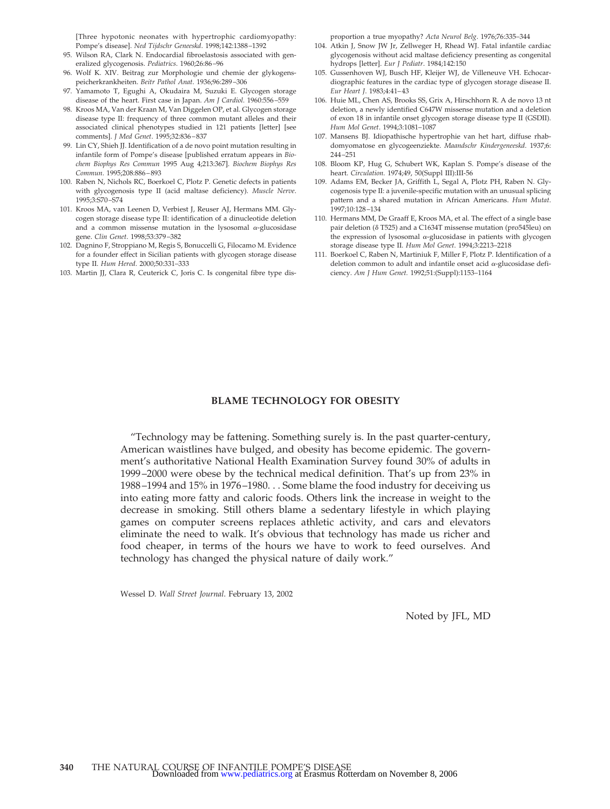[Three hypotonic neonates with hypertrophic cardiomyopathy: Pompe's disease]. *Ned Tijdschr Geneeskd*. 1998;142:1388–1392

- 95. Wilson RA, Clark N. Endocardial fibroelastosis associated with generalized glycogenosis. *Pediatrics*. 1960;26:86–96
- 96. Wolf K. XIV. Beitrag zur Morphologie und chemie der glykogenspeicherkrankheiten. *Beitr Pathol Anat*. 1936;96:289–306
- 97. Yamamoto T, Egughi A, Okudaira M, Suzuki E. Glycogen storage disease of the heart. First case in Japan. *Am J Cardiol.* 1960:556–559
- 98. Kroos MA, Van der Kraan M, Van Diggelen OP, et al. Glycogen storage disease type II: frequency of three common mutant alleles and their associated clinical phenotypes studied in 121 patients [letter] [see comments]. *J Med Genet*. 1995;32:836–837
- 99. Lin CY, Shieh JJ. Identification of a de novo point mutation resulting in infantile form of Pompe's disease [published erratum appears in *Biochem Biophys Res Commun* 1995 Aug 4;213:367]. *Biochem Biophys Res Commun*. 1995;208:886–893
- 100. Raben N, Nichols RC, Boerkoel C, Plotz P. Genetic defects in patients with glycogenosis type II (acid maltase deficiency). *Muscle Nerve*. 1995;3:S70–S74
- 101. Kroos MA, van Leenen D, Verbiest J, Reuser AJ, Hermans MM. Glycogen storage disease type II: identification of a dinucleotide deletion and a common missense mutation in the lysosomal  $\alpha$ -glucosidase gene. *Clin Genet*. 1998;53:379–382
- 102. Dagnino F, Stroppiano M, Regis S, Bonuccelli G, Filocamo M. Evidence for a founder effect in Sicilian patients with glycogen storage disease type II. *Hum Hered*. 2000;50:331–333
- 103. Martin JJ, Clara R, Ceuterick C, Joris C. Is congenital fibre type dis-

proportion a true myopathy? *Acta Neurol Belg*. 1976;76:335–344

- 104. Atkin J, Snow JW Jr, Zellweger H, Rhead WJ. Fatal infantile cardiac glycogenosis without acid maltase deficiency presenting as congenital hydrops [letter]. *Eur J Pediatr*. 1984;142:150
- 105. Gussenhoven WJ, Busch HF, Kleijer WJ, de Villeneuve VH. Echocardiographic features in the cardiac type of glycogen storage disease II. *Eur Heart J*. 1983;4:41–43
- 106. Huie ML, Chen AS, Brooks SS, Grix A, Hirschhorn R. A de novo 13 nt deletion, a newly identified C647W missense mutation and a deletion of exon 18 in infantile onset glycogen storage disease type II (GSDII). *Hum Mol Genet*. 1994;3:1081–1087
- 107. Mansens BJ. Idiopathische hypertrophie van het hart, diffuse rhabdomyomatose en glycogeenziekte. *Maandschr Kindergeneeskd*. 1937;6: 244–251
- 108. Bloom KP, Hug G, Schubert WK, Kaplan S. Pompe's disease of the heart. *Circulation.* 1974;49, 50(Suppl III):III-56
- 109. Adams EM, Becker JA, Griffith L, Segal A, Plotz PH, Raben N. Glycogenosis type II: a juvenile-specific mutation with an unusual splicing pattern and a shared mutation in African Americans. *Hum Mutat*. 1997;10:128–134
- 110. Hermans MM, De Graaff E, Kroos MA, et al. The effect of a single base pair deletion ( $\delta$  T525) and a C1634T missense mutation (pro545leu) on the expression of lysosomal  $\alpha$ -glucosidase in patients with glycogen storage disease type II. *Hum Mol Genet*. 1994;3:2213–2218
- 111. Boerkoel C, Raben N, Martiniuk F, Miller F, Plotz P. Identification of a deletion common to adult and infantile onset acid  $\alpha$ -glucosidase deficiency. *Am J Hum Genet.* 1992;51:(Suppl):1153–1164

# **BLAME TECHNOLOGY FOR OBESITY**

"Technology may be fattening. Something surely is. In the past quarter-century, American waistlines have bulged, and obesity has become epidemic. The government's authoritative National Health Examination Survey found 30% of adults in 1999–2000 were obese by the technical medical definition. That's up from 23% in 1988–1994 and 15% in 1976–1980. . . Some blame the food industry for deceiving us into eating more fatty and caloric foods. Others link the increase in weight to the decrease in smoking. Still others blame a sedentary lifestyle in which playing games on computer screens replaces athletic activity, and cars and elevators eliminate the need to walk. It's obvious that technology has made us richer and food cheaper, in terms of the hours we have to work to feed ourselves. And technology has changed the physical nature of daily work."

Wessel D. *Wall Street Journal*. February 13, 2002

Noted by JFL, MD